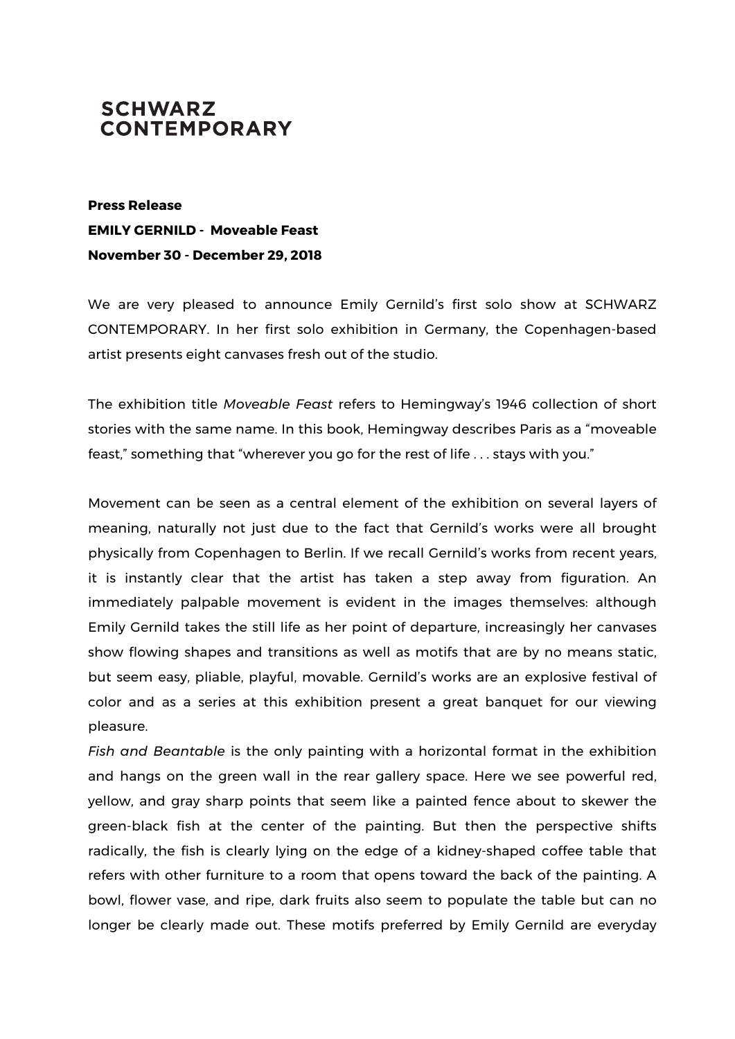## **SCHWARZ CONTEMPORARY**

**Press Release EMILY GERNILD - Moveable Feast November 30 - December 29, 2018**

We are very pleased to announce Emily Gernild's first solo show at SCHWARZ CONTEMPORARY. In her first solo exhibition in Germany, the Copenhagen-based artist presents eight canvases fresh out of the studio.

The exhibition title *Moveable Feast* refers to Hemingway's 1946 collection of short stories with the same name. In this book, Hemingway describes Paris as a "moveable feast," something that "wherever you go for the rest of life . . . stays with you."

Movement can be seen as a central element of the exhibition on several layers of meaning, naturally not just due to the fact that Gernild's works were all brought physically from Copenhagen to Berlin. If we recall Gernild's works from recent years, it is instantly clear that the artist has taken a step away from figuration. An immediately palpable movement is evident in the images themselves: although Emily Gernild takes the still life as her point of departure, increasingly her canvases show flowing shapes and transitions as well as motifs that are by no means static, but seem easy, pliable, playful, movable. Gernild's works are an explosive festival of color and as a series at this exhibition present a great banquet for our viewing pleasure.

*Fish and Beantable* is the only painting with a horizontal format in the exhibition and hangs on the green wall in the rear gallery space. Here we see powerful red, yellow, and gray sharp points that seem like a painted fence about to skewer the green-black fish at the center of the painting. But then the perspective shifts radically, the fish is clearly lying on the edge of a kidney-shaped coffee table that refers with other furniture to a room that opens toward the back of the painting. A bowl, flower vase, and ripe, dark fruits also seem to populate the table but can no longer be clearly made out. These motifs preferred by Emily Gernild are everyday